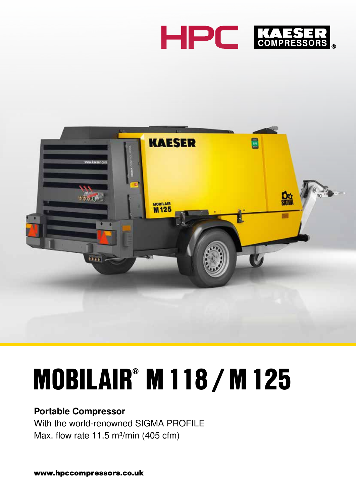



## MOBILAIR® M118 /M125

### Portable Compressor

With the world-renowned SIGMA PROFILE Max. flow rate 11.5 m<sup>3</sup>/min (405 cfm)

www.hpccompressors.co.uk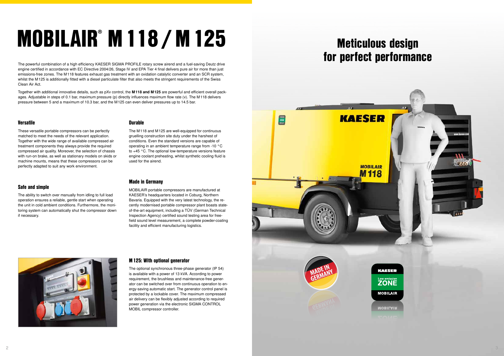#### Versatile

These versatile portable compressors can be perfectly matched to meet the needs of the relevant application. Together with the wide range of available compressed air treatment components they always provide the required compressed air quality. Moreover, the selection of chassis with run-on brake, as well as stationary models on skids or machine mounts, means that these compressors can be perfectly adapted to suit any work environment.

#### Safe and simple

The ability to switch over manually from idling to full load operation ensures a reliable, gentle start when operating the unit in cold ambient conditions. Furthermore, the monitoring system can automatically shut the compressor down if necessary.

#### **Durable**

The M118 and M125 are well-equipped for continuous gruelling construction site duty under the harshest of conditions. Even the standard versions are capable of operating in an ambient temperature range from -10 °C to +45 °C. The optional low-temperature versions feature engine coolant preheating, whilst synthetic cooling fluid is used for the airend.

#### Made in Germany

Together with additional innovative details, such as pXv control, the M118 and M125 are powerful and efficient overall packages. Adjustable in steps of 0.1 bar, maximum pressure (p) directly influences maximum flow rate (v). The M118 delivers pressure between 5 and a maximum of 10.3 bar, and the M125 can even deliver pressures up to 14.5 bar.

> MOBILAIR portable compressors are manufactured at KAESER's headquarters located in Coburg, Northern Bavaria. Equipped with the very latest technology, the recently modernised portable compressor plant boasts stateof-the-art equipment, including a TÜV (German Technical Inspection Agency) certified sound testing area for freefield sound level measurement, a complete powder-coating facility and efficient manufacturing logistics.



The powerful combination of a high efficiency KAESER SIGMA PROFILE rotary screw airend and a fuel-saving Deutz drive engine certified in accordance with EC Directive 2004/26, Stage IV and EPA Tier 4 final delivers pure air for more than just emissions-free zones. The M118 features exhaust gas treatment with an oxidation catalytic converter and an SCR system, whilst the M125 is additionally fitted with a diesel particulate filter that also meets the stringent requirements of the Swiss Clean Air Act.

# MOBILAIR® M118 /M125

#### M125: With optional generator

The optional synchronous three-phase generator (IP 54) is available with a power of 13 kVA. According to power requirement, the brushless and maintenance-free generator can be switched over from continuous operation to energy-saving automatic start. The generator control panel is protected by a lockable cover. The maximum compressed air delivery can be flexibly adjusted according to required power generation via the electronic SIGMA CONTROL MOBIL compressor controller.

### Meticulous design for perfect performance

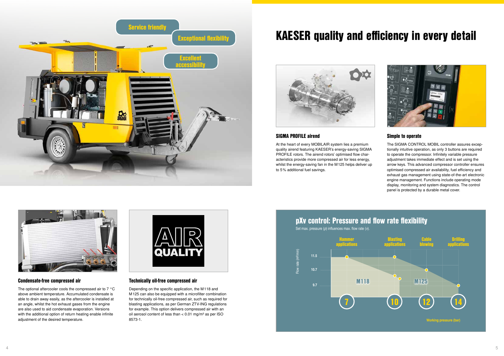



### KAESER quality and efficiency in every detail



#### Simple to operate

The SIGMA CONTROL MOBIL controller assures exceptionally intuitive operation, as only 3 buttons are required to operate the compressor. Infinitely variable pressure adjustment takes immediate effect and is set using the arrow keys. This advanced compressor controller ensures optimised compressed air availability, fuel efficiency and exhaust gas management using state-of-the-art electronic engine management. Functions include operating mode display, monitoring and system diagnostics. The control panel is protected by a durable metal cover.

The optional aftercooler cools the compressed air to 7 °C above ambient temperature. Accumulated condensate is able to drain away easily, as the aftercooler is installed at an angle, whilst the hot exhaust gases from the engine are also used to aid condensate evaporation. Versions with the additional option of return heating enable infinite adjustment of the desired temperature.



#### Technically oil-free compressed air

Depending on the specific application, the M118 and M125 can also be equipped with a microfilter combination for technically oil-free compressed air, such as required for blasting applications, as per German ZTV-ING regulations for example. This option delivers compressed air with an oil aerosol content of less than  $< 0.01$  mg/m<sup>3</sup> as per ISO 8573-1.

#### Condensate-free compressed air

#### SIGMA PROFILE airend

At the heart of every MOBILAIR system lies a premium quality airend featuring KAESER's energy-saving SIGMA PROFILE rotors. The airend rotors' optimised flow characteristics provide more compressed air for less energy, whilst the energy-saving fan in the M125 helps deliver up to 5% additional fuel savings.



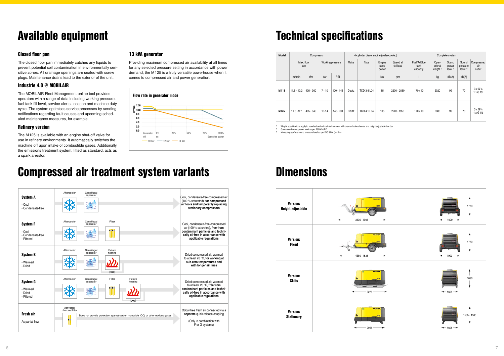

| Model            | Compressor          |             |                  |             | 4-cylinder diesel engine (water-cooled) |                    |                          |                       | Complete system                 |                                          |                                      |                                         |                                               |
|------------------|---------------------|-------------|------------------|-------------|-----------------------------------------|--------------------|--------------------------|-----------------------|---------------------------------|------------------------------------------|--------------------------------------|-----------------------------------------|-----------------------------------------------|
|                  | Max. flow<br>rate   |             | Working pressure |             | Make                                    | Type               | Engine<br>rated<br>power | Speed at<br>full load | Fuel/AdBlue<br>tank<br>capacity | Oper-<br>ational<br>weight <sup>1)</sup> | Sound<br>power<br>level <sup>2</sup> | Sound<br>pressure<br>level <sup>3</sup> | Compressed<br>air<br>outlet                   |
|                  | m <sup>3</sup> /min | cfm         | bar              | PSI         |                                         |                    | kW                       | rpm                   |                                 | kg                                       | dB(A)                                | dB(A)                                   |                                               |
| M <sub>118</sub> | $11.5 - 10.2$       | $405 - 360$ | $7 - 10$         | $100 - 145$ | Deutz                                   | <b>TCD 3.6 L04</b> | 85                       | 2200 - 2050           | 170/10                          | 2020                                     | 99                                   | 70                                      | $3 \times G$ $\frac{3}{4}$<br>$1 \times G1\%$ |
| M125             | $11.5 - 9.7$        | $405 - 345$ | $10 - 14$        | 145-200     | Deutz                                   | <b>TCD 4.1 L04</b> | 105                      | 2200-1950             | 170/10                          | 2080                                     | 99                                   | 70                                      | 3 x G 3/4<br>$1 \times G1\%$                  |

### Technical specifications

#### Closed floor pan

The closed floor pan immediately catches any liquids to prevent potential soil contamination in environmentally sensitive zones. All drainage openings are sealed with screw plugs. Maintenance drains lead to the exterior of the unit.

#### Industrie 4.0 @ MOBILAIR

The MOBILAIR Fleet Management online tool provides operators with a range of data including working pressure, fuel tank fill level, service alerts, location and machine duty cycle. The system optimises service processes by sending notifications regarding fault causes and upcoming scheduled maintenance measures, for example.

#### Refinery version

The M125 is available with an engine shut-off valve for use in refinery environments. It automatically switches the machine off upon intake of combustible gases. Additionally, the emissions treatment system, fitted as standard, acts as a spark arrestor.

### Available equipment

#### 13 kVA generator

2) Guaranteed sound power level as per 2000/14/EC Measuring surface sound pressure level as per ISO 3744 (r=10m)

Providing maximum compressed air availability at all times for any selected pressure setting in accordance with power demand, the M125 is a truly versatile powerhouse when it comes to compressed air and power generation.

### Compressed air treatment system variants







### **Dimensions**

1) Weight specifications apply to standard unit without air treatment with overrun brake chassis and height adjustable tow bar